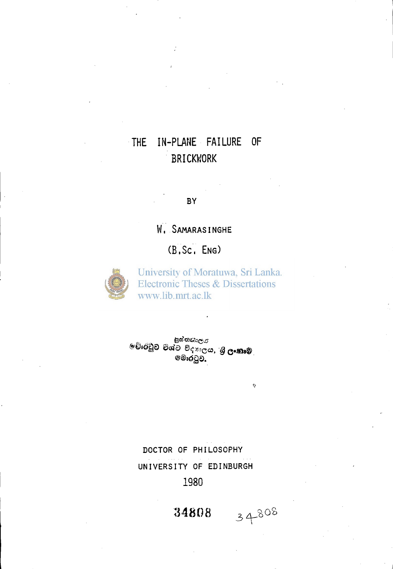# **THE IN-PLANE FAILURE OF BRICKWORK**

**BY** 

**W. S**AMARAS**i**NGHE

**(B'.Sc, E**NG)



University of Moratuwa, Sri Lanka. **Electronic Theses & Dissertations** www.lib.mrt.ac.lk

 $\hat{\mathbf{v}}$ 

34808

පු<sup>යතයාල</sup>ය<br>මෘතිව විශ්ව විදහලය, **ගු ලංකාම**<br>වෙරුවුව.

DOCTOR OF PHILOSOPHY UNIVERSITY OF EDINBURGH 1980

34808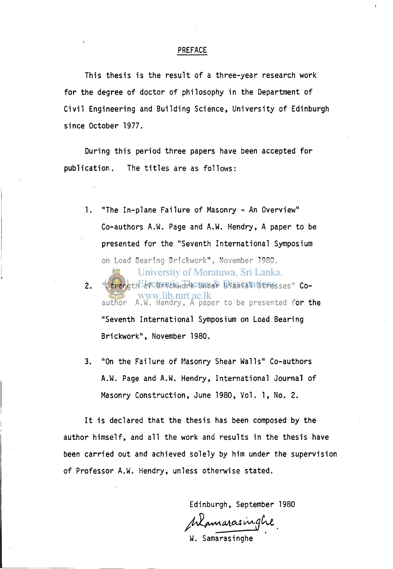#### PREFACE

This thesis is the result of a three-year research work for the degree of doctor of philosophy in the Department of Civil Engineering and Building Science, University of Edinburgh since October 1977.

During this period three papers have been accepted for publication. The titles are as follows:

- 1. "The In-plane Failure of Masonry An Overview" Co-authors A.W. Page and A.W. Hendry, A paper to be presented for the "Seventh International Symposium on Load Bearing Brickwork", November 1980. University of Moratuwa, Sri Lanka. 2. "Strength cf Brought Charger Brissontal Stresses" Cowww.lib.mrt.ac.lk<br>author A.W. Hendry, A paper to be presented for the "Seventh International Symposium on Load Bearing Brickwork", November 1980.
- 3. "On the Failure of Masonry Shear Walls" Co-authors A.W. Page and A.W. Hendry, International Journal of Masonry Construction, June 1980, Vol. 1, No. 2.

It is declared that the thesis has been composed by the author himself, and all the work and results in the thesis have been carried out and achieved solely by him under the supervision of Professor A.W. Hendry, unless otherwise stated.

Edinburgh, September 1980

Mamarasinghe

W. Samarasinghe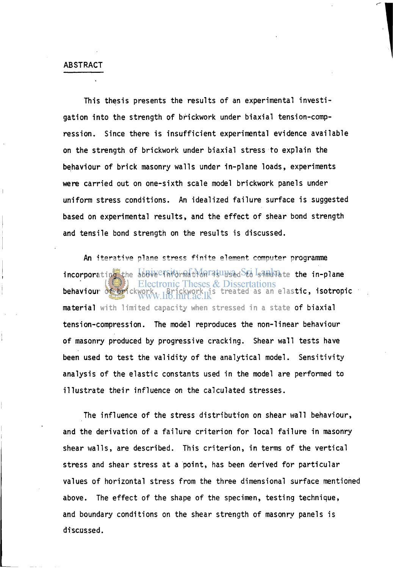#### ABSTRACT

This thesis presents the results of an experimental investigation into the strength of brickwork under biaxial tension-compression. Since there is insufficient experimental evidence available on the strength of brickwork under biaxial stress to explain the behaviour of brick masonry walls under in-plane loads, experiments were carried out on one-sixth scale model brickwork panels under uniform stress conditions. An idealized failure surface is suggested based on experimental results, and the effect of shear bond strength and tensile bond strength on the results is discussed.

An iterative plane stress finite element computer programme incorporating the above Thiornation is unsed to simulate the in-plane behaviour of brickwork. Brickwork. British treated as an elastic, isotropic material with limited capacity when stressed in a state of biaxial tension-compression. The model reproduces the non-linear behaviour of masonry produced by progressive cracking. Shear wall tests have been used to test the validity of the analytical model. Sensitivity analysis of the elastic constants used in the model are performed to illustrate their influence on the calculated stresses.

The influence of the stress distribution on shear wall behaviour, and the derivation of a failure criterion for local failure in masonry shear walls, are described. This criterion, in terms of the vertical stress and shear stress at a point, has been derived for particular values of horizontal stress from the three dimensional surface mentioned above. The effect of the shape of the specimen, testing technique, and boundary conditions on the shear strength of masonry panels is discussed.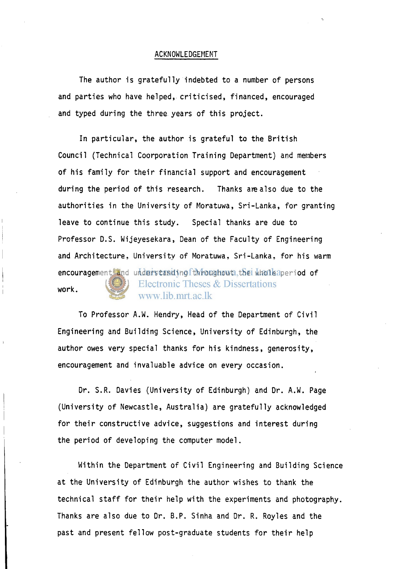#### ACKNOWLEDGEMENT

The author is gratefully indebted to a number of persons and parties who have helped, criticised, financed, encouraged and typed during the three years of this project.

In particular, the author is grateful to the British Council (Technical Coorporation Training Department) and members of his family for their financial support and encouragement during the period of this research. Thanks are also due to the authorities in the University of Moratuwa, Sri-Lanka, for granting leave to continue this study. Special thanks are due to Professor D.S. Wijeyesekara, Dean of the Faculty of Engineering and Architecture, University of Moratuwa, Sri-Lanka, for his warm encouragement and understanding fthroughout the whole aperiod of Electronic Theses & Dissertations work. www.lib.mrt.ac.lk

To Professor A.W. Hendry, Head of the Department of Civil Engineering and Building Science, University of Edinburgh, the author owes very special thanks for his kindness, generosity, encouragement and invaluable advice on every occasion.

Dr. S.R. Davies (University of Edinburgh) and Dr. A.W. Page (University of Newcastle, Australia) are gratefully acknowledged for their constructive advice, suggestions and interest during the period of developing the computer model.

Within the Department of Civil Engineering and Building Science at the University of Edinburgh the author wishes to thank the technical staff for their help with the experiments and photography. Thanks are also due to Dr. B.P. Sinha and Dr. R. Royles and the past and present fellow post-graduate students for their help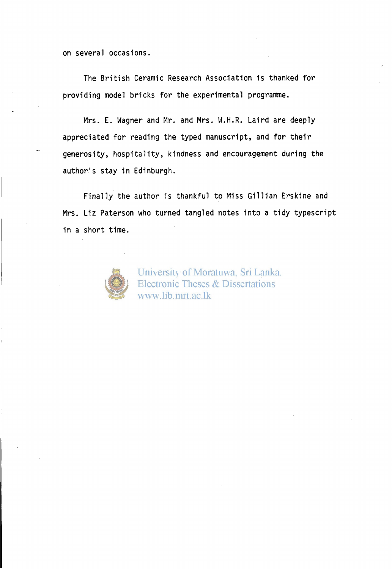on several occasions.

The British Ceramic Research Association is thanked for providing model bricks for the experimental programme.

Mrs. E. Wagner and Mr. and Mrs. W.H.R. Laird are deeply appreciated for reading the typed manuscript, and for their generosity, hospitality, kindness and encouragement during the author's stay in Edinburgh.

Finally the author is thankful to Miss Gillian Erskine and Mrs. Liz Paterson who turned tangled notes into a tidy typescript in a short time.



University of Moratuwa, Sri Lanka. Electronic Theses & Dissertations www.lib.mrt.ac.lk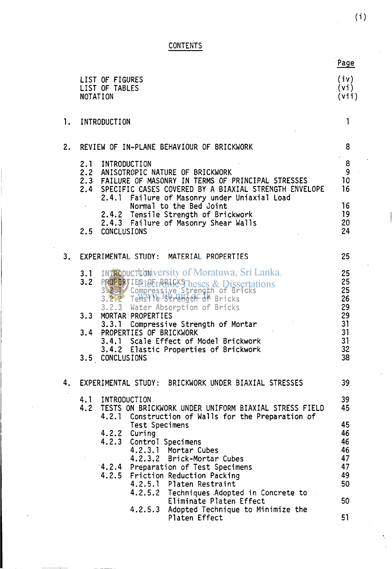**CONTENTS** 

|    |                                                                                                                                                                                                                                                                                                                                                                                                                                                                                       | Page                                                           |
|----|---------------------------------------------------------------------------------------------------------------------------------------------------------------------------------------------------------------------------------------------------------------------------------------------------------------------------------------------------------------------------------------------------------------------------------------------------------------------------------------|----------------------------------------------------------------|
|    | LIST OF FIGURES<br>LIST OF TABLES<br><b>NOTATION</b>                                                                                                                                                                                                                                                                                                                                                                                                                                  | (iv)<br>(vi)<br>(vii)                                          |
| 1. | INTRODUCTION                                                                                                                                                                                                                                                                                                                                                                                                                                                                          | 1                                                              |
| 2. | REVIEW OF IN-PLANE BEHAVIOUR OF BRICKWORK                                                                                                                                                                                                                                                                                                                                                                                                                                             | 8                                                              |
|    | 2.1 INTRODUCTION<br>2.2 ANISOTROPIC NATURE OF BRICKWORK<br>2.3 FAILURE OF MASONRY IN TERMS OF PRINCIPAL STRESSES<br>2.4 SPECIFIC CASES COVERED BY A BIAXIAL STRENGTH ENVELOPE<br>2.4.1 Failure of Masonry under Uniaxial Load<br>Normal to the Bed Joint<br>2.4.2 Tensile Strength of Brickwork<br>2.4.3 Failure of Masonry Shear Walls<br>2.5 CONCLUSIONS                                                                                                                            | 8<br>9<br>10<br>16<br>16<br>19<br>20<br>24                     |
| 3. | EXPERIMENTAL STUDY: MATERIAL PROPERTIES                                                                                                                                                                                                                                                                                                                                                                                                                                               | 25                                                             |
|    | <b>3.1</b> INTRODUCTUONIVERSIty of Moratuwa, Sri Lanka.<br>3.2 PROPERTIES 10EthRHfck Theses & Dissertations<br>3.2.2 Compressive Strength of Bricks<br>3.2.2 Tensile Strength of Bricks<br>3.2.3 Water Absorption of Bricks<br>MORTAR PROPERTIES<br>3.3<br>3.3.1<br>Compressive Strength of Mortar<br>3.4 PROPERTIES OF BRICKWORK<br>3.4.1 Scale Effect of Model Brickwork<br>3.4.2 Elastic Properties of Brickwork<br><b>CONCLUSIONS</b><br>3.5                                      | 25<br>25<br>25<br>26<br>29<br>29<br>31<br>31<br>31<br>32<br>38 |
| 4. | EXPERIMENTAL STUDY: BRICKWORK UNDER BIAXIAL STRESSES                                                                                                                                                                                                                                                                                                                                                                                                                                  | 39                                                             |
|    | 4.1 INTRODUCTION<br>4.2 TESTS ON BRICKWORK UNDER UNIFORM BIAXIAL STRESS FIELD<br>4.2.1 Construction of Walls for the Preparation of<br>Test Specimens<br>4.2.2 Curing<br>4.2.3 Control Specimens<br>4.2.3.1 Mortar Cubes<br>4.2.3.2 Brick-Mortar Cubes<br>4.2.4 Preparation of Test Specimens<br>4.2.5 Friction Reduction Packing<br>4.2.5.1 Platen Restraint<br>4.2.5.2 Techniques Adopted in Concrete to<br>Eliminate Platen Effect<br>Adopted Technique to Minimize the<br>4.2.5.3 | 39<br>45<br>45<br>46<br>46<br>46<br>47<br>47<br>49<br>50<br>50 |
|    | Platen Effect                                                                                                                                                                                                                                                                                                                                                                                                                                                                         | 51                                                             |

 $\mathbf{v}_i$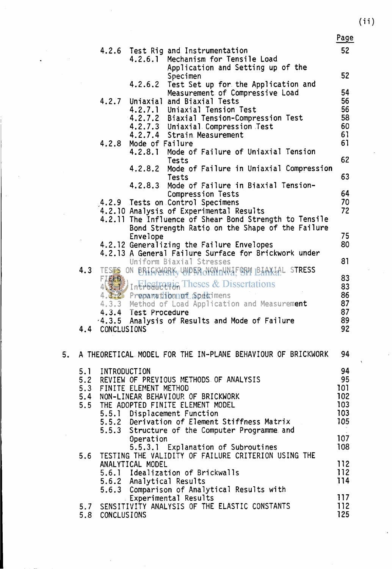(ii)

|    |     |                    |                           |                                                                                                           | Page       |
|----|-----|--------------------|---------------------------|-----------------------------------------------------------------------------------------------------------|------------|
|    |     |                    |                           | 4.2.6 Test Rig and Instrumentation                                                                        | 52         |
|    |     |                    | 4.2.6.1                   | Mechanism for Tensile Load                                                                                |            |
|    |     |                    |                           | Application and Setting up of the                                                                         |            |
|    |     |                    |                           | Specimen                                                                                                  | 52         |
|    |     |                    |                           | 4.2.6.2 Test Set up for the Application and<br>Measurement of Compressive Load                            | 54         |
|    |     |                    |                           | 4.2.7 Uniaxial and Biaxial Tests                                                                          | 56         |
|    |     |                    |                           | 4.2.7.1 Uniaxial Tension Test                                                                             | 56         |
|    |     |                    |                           | 4.2.7.2 Biaxial Tension-Compression Test                                                                  | 58         |
|    |     |                    |                           | 4.2.7.3 Uniaxial Compression Test                                                                         | 60         |
|    |     |                    |                           | 4.2.7.4 Strain Measurement                                                                                | 61         |
|    |     | 4.2.8              | Mode of Failure           |                                                                                                           | 61         |
|    |     |                    |                           | 4.2.8.1 Mode of Failure of Uniaxial Tension<br>Tests                                                      | 62         |
|    |     |                    |                           | 4.2.8.2 Mode of Failure in Uniaxial Compression                                                           |            |
|    |     |                    |                           | Tests                                                                                                     | 63         |
|    |     |                    |                           | 4.2.8.3 Mode of Failure in Biaxial Tension-                                                               |            |
|    |     |                    |                           | Compression Tests                                                                                         | 64         |
|    |     |                    |                           | 4.2.9 Tests on Control Specimens                                                                          | 70         |
|    |     |                    |                           | 4.2.10 Analysis of Experimental Results                                                                   | 72         |
|    |     |                    |                           | 4.2.11 The Influence of Shear Bond Strength to Tensile<br>Bond Strength Ratio on the Shape of the Failure |            |
|    |     |                    | Envelope                  |                                                                                                           | 75         |
|    |     |                    |                           | 4.2.12 Generalizing the Failure Envelopes                                                                 | 80         |
|    |     |                    |                           | 4.2.13 A General Failure Surface for Brickwork under                                                      |            |
|    |     |                    |                           | Uniform Biaxial Stresses                                                                                  | 81         |
|    |     |                    |                           | 4.3 TESTS ON BRIGKWARK WPFROVANDWAF ORM BAAKLAL STRESS                                                    |            |
|    |     | FIELD              |                           | 4 3 Intreduction Theses & Dissertations                                                                   | 83         |
|    |     |                    |                           |                                                                                                           | 83<br>86   |
|    |     |                    |                           | 4.3.2 Preparationnoff Specimens<br>4.3.3 Method of Load Application and Measurement                       | 87         |
|    |     |                    | 4.3.4 Test Procedure      |                                                                                                           | 87         |
|    |     |                    |                           | $-4.3.5$ Analysis of Results and Mode of Failure                                                          | 89         |
|    | 4.4 | <b>CONCLUSIONS</b> |                           |                                                                                                           | 92         |
|    |     |                    |                           |                                                                                                           |            |
| 5. |     |                    |                           | A THEORETICAL MODEL FOR THE IN-PLANE BEHAVIOUR OF BRICKWORK                                               | 94         |
|    |     |                    |                           |                                                                                                           |            |
|    | 5.1 | INTRODUCTION       |                           |                                                                                                           | 94         |
|    |     |                    |                           | 5.2 REVIEW OF PREVIOUS METHODS OF ANALYSIS                                                                | 95         |
|    |     |                    | 5.3 FINITE ELEMENT METHOD |                                                                                                           | 101        |
|    |     |                    |                           | 5.4 NON-LINEAR BEHAVIOUR OF BRICKWORK                                                                     | 102        |
|    |     |                    |                           | 5.5 THE ADOPTED FINITE ELEMENT MODEL                                                                      | 103        |
|    |     |                    |                           | 5.5.1 Displacement Function<br>5.5.2 Derivation of Element Stiffness Matrix                               | 103<br>105 |
|    |     |                    |                           | 5.5.3 Structure of the Computer Programme and                                                             |            |
|    |     |                    | Operation                 |                                                                                                           | 107        |
|    |     |                    |                           | 5.5.3.1 Explanation of Subroutines                                                                        | 108        |
|    |     |                    |                           | 5.6 TESTING THE VALIDITY OF FAILURE CRITERION USING THE                                                   |            |
|    |     |                    | ANALYTICAL MODEL          |                                                                                                           | 112        |
|    |     |                    |                           | 5.6.1 Idealization of Brickwalls                                                                          | 112        |
|    |     |                    | 5.6.2 Analytical Results  |                                                                                                           | 114        |
|    |     |                    |                           | 5.6.3 Comparison of Analytical Results with                                                               | 117        |
|    |     |                    |                           | Experimental Results<br>5.7 SENSITIVITY ANALYSIS OF THE ELASTIC CONSTANTS                                 | 112        |
|    |     | 5.8 CONCLUSIONS    |                           |                                                                                                           | 125        |
|    |     |                    |                           |                                                                                                           |            |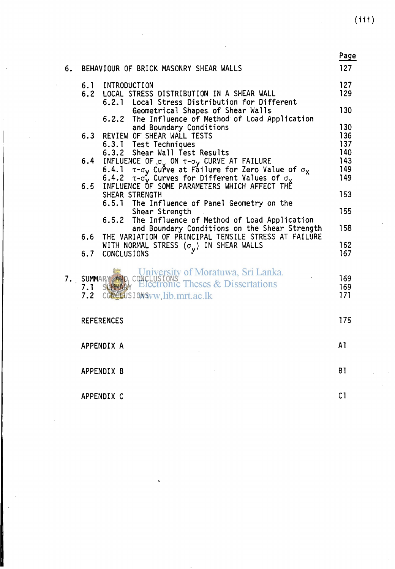$(iii)$ 

| 6. | BEHAVIOUR OF BRICK MASONRY SHEAR WALLS                                                                                                                                                                                                                                             | Page<br>127              |
|----|------------------------------------------------------------------------------------------------------------------------------------------------------------------------------------------------------------------------------------------------------------------------------------|--------------------------|
|    | 6.1<br>INTRODUCTION<br>6.2<br>LOCAL STRESS DISTRIBUTION IN A SHEAR WALL<br>6.2.1 Local Stress Distribution for Different                                                                                                                                                           | 127<br>129               |
|    | Geometrical Shapes of Shear Walls<br>The Influence of Method of Load Application<br>6.2.2                                                                                                                                                                                          | 130                      |
|    | and Boundary Conditions<br>REVIEW OF SHEAR WALL TESTS<br>6.3<br>6.3.1 Test Techniques<br>6.3.2 Shear Wall Test Results                                                                                                                                                             | 130<br>136<br>137<br>140 |
|    | INFLUENCE OF $\sigma$ ON $\tau$ - $\sigma$ y CURVE AT FAILURE<br>6.4.1 $\tau$ - $\sigma$ y Curve at Failure for Zero Value of $\sigma$ <sub>X</sub><br>6.4.2 $\tau$ - $\sigma$ y Curves for Different Values of $\sigma$ y<br>INFLUENCE OF SOME PARAMETERS WHICH AFFECT THE<br>6.4 | 143<br>149               |
|    | 6.5                                                                                                                                                                                                                                                                                | 149                      |
|    | SHEAR STRENGTH<br>6.5.1 The Influence of Panel Geometry on the                                                                                                                                                                                                                     | 153                      |
|    | Shear Strength<br>The Influence of Method of Load Application<br>6.5.2                                                                                                                                                                                                             | 155<br>158               |
|    | and Boundary Conditions on the Shear Strength<br>THE VARIATION OF PRINCIPAL TENSILE STRESS AT FAILURE<br>6.6                                                                                                                                                                       |                          |
|    | WITH NORMAL STRESS $(\sigma_{\mathbf{v}})$ in shear walls<br>6.7<br><b>CONCLUSIONS</b>                                                                                                                                                                                             | 162<br>167               |
| 7. | SUMMARY AND, CONCLUSIONS<br><b>SUMMARY</b> Electronic Theses & Dissertations<br>7.1<br>7.2 CONGLUSIONS vw. lib.mrt.ac.lk                                                                                                                                                           | 169<br>169<br>171        |
|    | <b>REFERENCES</b>                                                                                                                                                                                                                                                                  | 175                      |
|    | APPENDIX A                                                                                                                                                                                                                                                                         | A1                       |
|    | APPENDIX B                                                                                                                                                                                                                                                                         | <b>B1</b>                |
|    | APPENDIX C                                                                                                                                                                                                                                                                         | C <sub>1</sub>           |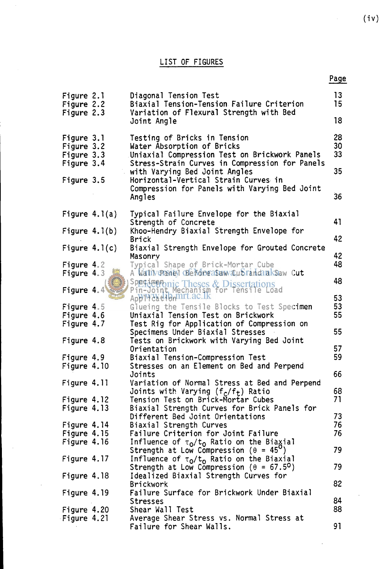|                                        |                                                                                                               | Page     |
|----------------------------------------|---------------------------------------------------------------------------------------------------------------|----------|
| Figure 2.1<br>Figure 2.2<br>Figure 2.3 | Diagonal Tension Test<br>Biaxial Tension-Tension Failure Criterion<br>Variation of Flexural Strength with Bed | 13<br>15 |
|                                        | Joint Angle                                                                                                   | 18       |
| Figure 3.1<br>Figure 3.2               | Testing of Bricks in Tension<br>Water Absorption of Bricks                                                    | 28<br>30 |
| Figure 3.3                             | Uniaxial Compression Test on Brickwork Panels                                                                 | 33       |
| Figure 3.4                             | Stress-Strain Curves in Compression for Panels                                                                |          |
| Figure 3.5                             | with Varying Bed Joint Angles<br>Horizontal-Vertical Strain Curves in                                         | 35       |
|                                        | Compression for Panels with Varying Bed Joint<br>Angles                                                       | 36       |
| Figure $4.1(a)$                        | Typical Failure Envelope for the Biaxial                                                                      | 41       |
| Figure $4.1(b)$                        | Strength of Concrete<br>Khoo-Hendry Biaxial Strength Envelope for                                             |          |
|                                        | Brick                                                                                                         | 42       |
| Figure $4.1(c)$                        | Biaxial Strength Envelope for Grouted Concrete<br>Masonry                                                     | 42       |
| Figure 4.2                             | Typical Shape of Brick-Mortar Cube                                                                            | 48       |
| Figure 4.3                             | A Walliversney Beforeasuw Cubrandiak Slaw Cut                                                                 |          |
| <b>Figure 4.4</b>                      | Speramento Theses & Dissertations<br>Pin-Joint Mechanism for Tensile Load<br>Application Int.ac.lk            | 48<br>53 |
| Figure 4.5                             | Glueing the Tensile Blocks to Test Specimen                                                                   | 53       |
| Figure 4.6                             | Uniaxial Tension Test on Brickwork                                                                            | 55       |
| Figure 4.7                             | Test Rig for Application of Compression on                                                                    | 55       |
| Figure 4.8                             | Specimens Under Biaxial Stresses<br>Tests on Brickwork with Varying Bed Joint                                 |          |
|                                        | Orientation                                                                                                   | 57       |
| Figure 4.9                             | Biaxial Tension-Compression Test                                                                              | 59       |
| Figure 4.10                            | Stresses on an Element on Bed and Perpend<br>Joints                                                           | 66       |
| Figure 4.11                            | Variation of Normal Stress at Bed and Perpend                                                                 |          |
|                                        | Joints with Varying (f <sub>c</sub> /f <sub>t</sub> ) Ratio                                                   | 68       |
| Figure 4.12                            | Tension Test on Brick-Mortar Cubes                                                                            | 71       |
| Figure 4.13                            | Biaxial Strength Curves for Brick Panels for                                                                  |          |
| Figure 4.14                            | Different Bed Joint Orientations<br>Biaxial Strength Curves                                                   | 73<br>76 |
| Figure 4.15                            | Failure Criterion for Joint Failure                                                                           | 76       |
| Figure 4.16                            | Influence of τ <sub>ο</sub> /t <sub>o</sub> Ratio on the Biaχial                                              |          |
|                                        | Strength at Low Compression ( $\theta = 45^{\circ}$ )                                                         | 79       |
| Figure 4.17                            | Influence of $\tau_0/t_0$ Ratio on the Biaxial                                                                |          |
|                                        | Strength at Low Compression ( $\theta$ = 67.5 <sup>0</sup> )                                                  | 79       |
| Figure 4.18                            | Idealized Biaxial Strength Curves for                                                                         | 82       |
| Figure 4.19                            | <b>Brickwork</b><br>Failure Surface for Brickwork Under Biaxial                                               |          |
|                                        | <b>Stresses</b>                                                                                               | 84       |
| Figure 4.20                            | Shear Wall Test                                                                                               | 88       |
| Figure 4.21                            | Average Shear Stress vs. Normal Stress at                                                                     |          |
|                                        | Failure for Shear Walls.                                                                                      | 91       |

 $\ddot{\phantom{a}}$ 

 $\sim$   $\sim$ 

(iv)

 $\sim$ 

 $\sim 10^{-1}$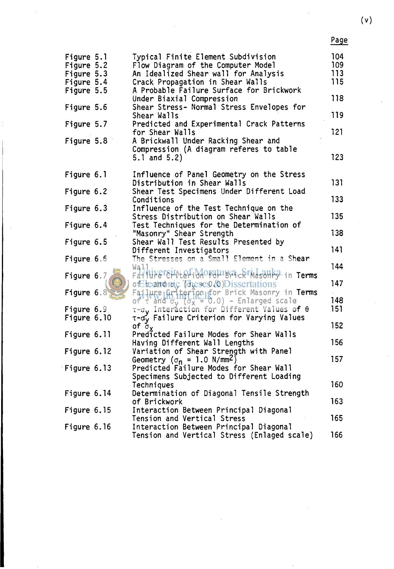| ×<br>×<br>٦ |  |
|-------------|--|
|-------------|--|

| Figure 5.1<br>Figure 5.2<br>Figure 5.3<br>Figure 5.4<br>Figure 5.5<br>Figure 5.6<br>Figure 5.7<br>Figure 5.8 | Typical Finite Element Subdivision<br>Flow Diagram of the Computer Model<br>An Idealized Shear wall for Analysis<br>Crack Propagation in Shear Walls<br>A Probable Failure Surface for Brickwork<br>Under Biaxial Compression<br>Shear Stress- Normal Stress Envelopes for<br>Shear Walls<br>Predicted and Experimental Crack Patterns<br>for Shear Walls<br>A Brickwall Under Racking Shear and<br>Compression (A diagram referes to table<br>5.1 and $5.2$ ) | 104<br>109<br>113<br>115<br>118<br>119<br>121<br>123 |
|--------------------------------------------------------------------------------------------------------------|----------------------------------------------------------------------------------------------------------------------------------------------------------------------------------------------------------------------------------------------------------------------------------------------------------------------------------------------------------------------------------------------------------------------------------------------------------------|------------------------------------------------------|
|                                                                                                              |                                                                                                                                                                                                                                                                                                                                                                                                                                                                |                                                      |
| Figure 6.1                                                                                                   | Influence of Panel Geometry on the Stress<br>Distribution in Shear Walls                                                                                                                                                                                                                                                                                                                                                                                       | 131                                                  |
| Figure 6.2                                                                                                   | Shear Test Specimens Under Different Load                                                                                                                                                                                                                                                                                                                                                                                                                      |                                                      |
|                                                                                                              | Conditions                                                                                                                                                                                                                                                                                                                                                                                                                                                     | 133                                                  |
| Figure 6.3                                                                                                   | Influence of the Test Technique on the<br>Stress Distribution on Shear Walls                                                                                                                                                                                                                                                                                                                                                                                   | 135                                                  |
| Figure 6.4                                                                                                   | Test Techniques for the Determination of                                                                                                                                                                                                                                                                                                                                                                                                                       |                                                      |
| Figure 6.5                                                                                                   | "Masonry" Shear Strength<br>Shear Wall Test Results Presented by                                                                                                                                                                                                                                                                                                                                                                                               | 138                                                  |
|                                                                                                              | Different Investigators                                                                                                                                                                                                                                                                                                                                                                                                                                        | 141                                                  |
| Figure 6.6                                                                                                   | The Stresses on a Small Element in a Shear                                                                                                                                                                                                                                                                                                                                                                                                                     | 144                                                  |
| Figure 6.7                                                                                                   | Wall<br>FatilikersHiterfiMoratubra.corMasonkg.in Terms                                                                                                                                                                                                                                                                                                                                                                                                         |                                                      |
|                                                                                                              | of Leandrac Tages & Dissertations                                                                                                                                                                                                                                                                                                                                                                                                                              | 147                                                  |
| Figure $6.8$                                                                                                 | Failure Griterîon pro Brick Masonry in <b>Terms</b><br>of t and d <sub>y</sub> (dx = 0.0) - Enlarged scale                                                                                                                                                                                                                                                                                                                                                     | 148                                                  |
| Figure 6.9                                                                                                   | τ-σy Interaction for Different Values of θ                                                                                                                                                                                                                                                                                                                                                                                                                     | 151                                                  |
| Figure 6.10                                                                                                  | T-dy Failure Criterion for Varying Values                                                                                                                                                                                                                                                                                                                                                                                                                      | 152                                                  |
| Figure 6.11                                                                                                  | of $\sigma_{\mathbf{v}}$<br>Predicted Failure Modes for Shear Walls                                                                                                                                                                                                                                                                                                                                                                                            |                                                      |
|                                                                                                              | Having Different Wall Lengths                                                                                                                                                                                                                                                                                                                                                                                                                                  | 156                                                  |
| Figure 6.12                                                                                                  | Variation of Shear Strength with Panel<br>Geometry ( $\sigma_{n}$ = 1.0 N/mm <sup>2</sup> )                                                                                                                                                                                                                                                                                                                                                                    | 157                                                  |
| Figure 6.13                                                                                                  | Predicted Failure Modes for Shear Wall                                                                                                                                                                                                                                                                                                                                                                                                                         |                                                      |
|                                                                                                              | Specimens Subjected to Different Loading<br>Techniques                                                                                                                                                                                                                                                                                                                                                                                                         | 160                                                  |
| Figure 6.14                                                                                                  | Determination of Diagonal Tensile Strength                                                                                                                                                                                                                                                                                                                                                                                                                     |                                                      |
|                                                                                                              | of Brickwork                                                                                                                                                                                                                                                                                                                                                                                                                                                   | 163                                                  |
| Figure 6.15                                                                                                  | Interaction Between Principal Diagonal<br>Tension and Vertical Stress                                                                                                                                                                                                                                                                                                                                                                                          | 165                                                  |
| Figure $6.16$                                                                                                | Interaction Between Principal Diagonal                                                                                                                                                                                                                                                                                                                                                                                                                         |                                                      |
|                                                                                                              | Tension and Vertical Stress (Enlaged scale)                                                                                                                                                                                                                                                                                                                                                                                                                    | 166                                                  |

 $\hat{\mathcal{A}}$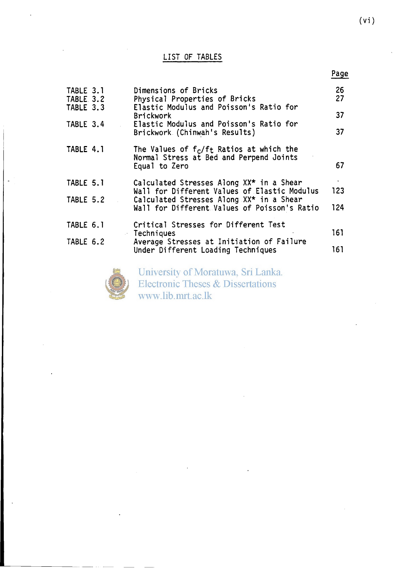## LIST OF TABLES

|                                     |                                                                                                         | Page     |
|-------------------------------------|---------------------------------------------------------------------------------------------------------|----------|
| TABLE 3.1<br>TABLE 3.2<br>TABLE 3.3 | Dimensions of Bricks<br>Physical Properties of Bricks<br>Elastic Modulus and Poisson's Ratio for        | 26<br>27 |
|                                     | <b>Brickwork</b>                                                                                        | 37       |
| TABLE 3.4                           | Elastic Modulus and Poisson's Ratio for<br>Brickwork (Chinwah's Results)                                | 37       |
| TABLE 4.1                           | The Values of $f_c/f_t$ Ratios at which the<br>Normal Stress at Bed and Perpend Joints<br>Equal to Zero | 67       |
| TABLE 5.1                           | Calculated Stresses Along XX* in a Shear                                                                | 123      |
| TABLE 5.2                           | Wall for Different Values of Elastic Modulus<br>Calculated Stresses Along XX* in a Shear                |          |
|                                     | Wall for Different Values of Poisson's Ratio                                                            | 124      |
| TABLE 6.1                           | Critical Stresses for Different Test<br><b>Techniques</b>                                               | 161      |
| TABLE 6.2                           | Average Stresses at Initiation of Failure                                                               |          |
|                                     | Under Different Loading Techniques                                                                      | 161      |
|                                     | University of Moratuwa, Sri Lanka.                                                                      |          |



Electronic Theses & Dissertations www.lib.mrt.ac.lk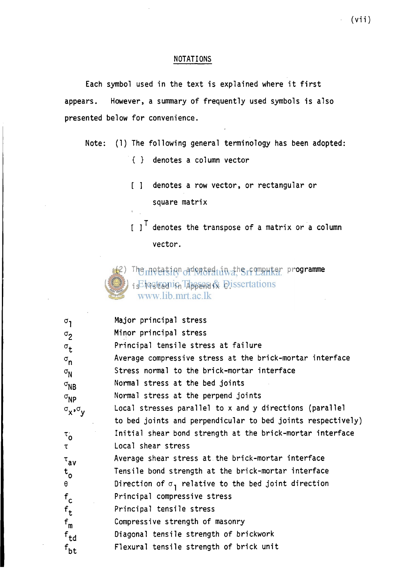### NOTATIONS

Each symbol used in the text is explained where it first appears. However, a summary of frequently used symbols is also presented below for convenience.

- Note: (1) The following general terminology has been adopted:
	- { } denotes a column vector
	- [ ] denotes a row vector, or rectangular or square matrix
	- [ ]' denotes the transpose of a matrix or a column vector.

(2) The notation adopted in the computer programme is Elestrania These & Dissertations<br>www.lib.mrt.ac.lk

| $\sigma$ <sub>1</sub>       | Major principal stress                                      |
|-----------------------------|-------------------------------------------------------------|
| $\sigma_{2}$                | Minor principal stress                                      |
| $\sigma_{\mathbf{t}}$       | Principal tensile stress at failure                         |
| $\sigma_{\bf n}$            | Average compressive stress at the brick-mortar interface    |
| $\sigma_{\rm N}$            | Stress normal to the brick-mortar interface                 |
| $\sigma_{NB}$               | Normal stress at the bed joints                             |
| $\sigma_{\textsf{NP}}$      | Normal stress at the perpend joints                         |
| $\sigma_{x}$ , $\sigma_{y}$ | Local stresses parallel to x and y directions (parallel     |
|                             | to bed joints and perpendicular to bed joints respectively) |
| $\tau_{\mathbf{o}}$         | Initial shear bond strength at the brick-mortar interface   |
| τ                           | Local shear stress                                          |
| $\tau_{av}$                 | Average shear stress at the brick-mortar interface          |
| $t_{\rm o}$                 | Tensile bond strength at the brick-mortar interface         |
| $\theta$                    | Direction of $\sigma_1$ relative to the bed joint direction |
| $f_c$                       | Principal compressive stress                                |
| $f_t$                       | Principal tensile stress                                    |
| $f_m$                       | Compressive strength of masonry                             |
| $f_{\text{td}}$             | Diagonal tensile strength of brickwork                      |
| $f_{\mathsf{bt}}$           | Flexural tensile strength of brick unit                     |